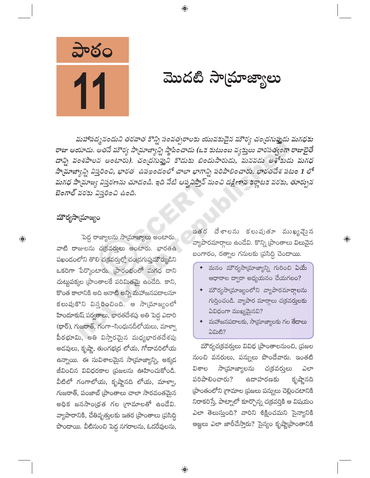

మొదటి సాయ్రాజ్యాలు

మహాపద్మనందుని తరవాత కొన్ని సంవత్సరాలకు యువకుడైన మౌర్య చంద్రగుప్తుడు మగధకు రాజు అయాడు. అతనే మౌర్య సాయ్రాజ్యాన్ని స్థాపించాడు (ఒక కుటుంబ వ్యక్తులు వారసత్వంగా రాజులైతే దాన్ని వంశపాలన అంటారు). చందగుప్తుని కొడుకు బిందుసారుడు, మనవడు అశోకుడు మగధ సామాజ్యాన్ని విస్తరించి, భారత ఉపఖండంలో చాలా భాగాన్ని పరిపాలించారు. భారతదేశ పటం 1 లో మగధ సాయాజ్య విస్తరణను చూడండి. ఇది నేటి ఆష్టవిస్తాన్ నుంచి దక్షిణాన కర్ణాటక వరకు, తూర్పున బెంగాల్ వరకు విస్తరించి ఉంది.

 $\bigoplus$ 

#### మౌర్యసామ్రాజ్యం

 $\bigoplus$ 

పెద్ద రాజ్యాలను సామ్రాజ్యాలు అంటారు. వాటి రాజులను చ(కవర్తులు అంటారు. భారతఉ పఖందంలోని తొలి చక్రవర్తుల్లో చంద్రగుప్తుమౌర్యుడిని ఒకరిగా పేర్కొంటారు. (పారంభంలో మగధ దాని చుట్టపక్కల (పాంతాలకే పరిమితమై ఉండేది. కాని, కొంత కాలానికి అది ఆనాటి అన్ని మహాజనపదాలనూ కలుపుకొని విస్తరించింది. ఆ సాయాజ్యంలో హిందూకుష్ పర్వతాలు, భారతదేశపు అతి పెద్ద ఎదారి (థార్), గుజరాత్, గంగా-సింధునదీలోయలు, మాళ్వా పీఠభూమి, అతి విస్తారమైన మధ్యభారతదేశపు అదవులు, కృష్ణా, తుంగభద్ర లోయ, గోదావరిలోయ ఉన్నాయి. ఈ సువిశాలమైన సాయ్రాజ్యాన్ని, అక్కద జీవించిన వివిధరకాల (పజలను ఊహించుకోండి. వీటిలో గంగాలోయ, కృష్ణానది లోయ, మాళ్వా, గుజరాత్, పంజాబ్ (పాంతాలు చాలా సారవంతమైన అధిక జనసాంధ్రత గల గ్రామాలతో ఉండేవి. వ్యాపారానికి, చేతివృత్తులకు ఇతర (పాంతాలు (పసిద్ధి పొందాయి. వీటినుంచి పెద్ద నగరాలను, ఓడరేవులను,

ఇతర దేశాలను కలుపుతూ ముఖ్యమైన వ్యాపారమార్గాలు ఉండేవి. కొన్ని [పాంతాలు విలువైన బంగారం, రత్నాల గనులకు (పసిద్ధి చెందాయి.

 $\bigoplus$ 

- $\bullet$  మనం మౌర్యసాయ్రాజ్యాన్ని గురించి ఏయే ఆధారాల ద్వారా అధ్యయనం చేయగలం?
- $\bullet$  మౌర్యసా(మాజ్యంలోని వ్యాపారమార్గాలను గుర్తించండి. వ్యాపార మార్గాలు చ(కవర్తులకు ఏవిధంగా ముఖ్యమైనవి?
- $\bullet$  మహాజనపదాలకు, సామ్రాజ్యాలకు గల తేదాలు 5කාසී?

మౌర్యచ(కవర్తులు వివిధ (పాంతాలనుంచి, (పజల నుంచి వనరులు, పన్నులు పొందేవారు. ఇంతటి ವಿಕಾಲ సాయ్రాజ్యాలను చ(కవరులు ಎಲ್ కృష్ణానది పరిపాలించారు? ఉదాహరణకు ప్రాంతంలోని గ్రామాల ప్రజలు పన్నులు చెల్లించటానికి నిరాకరిస్తే, పాట్నాలో కూర్చొన్న చక్రవర్తికి ఆ విషయం ఎలా తెలుస్తుంది? వారిని శిక్షించమని సైన్యానికి ఆజ్ఞలు ఎలా జారీచేస్తారు? సైన్యం కృష్ణా[పాంతానికి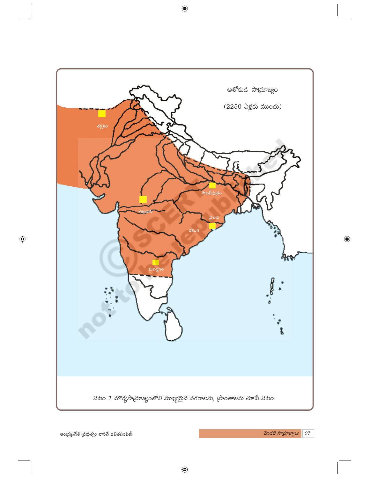

 $\bigoplus$ 

 $\bigoplus$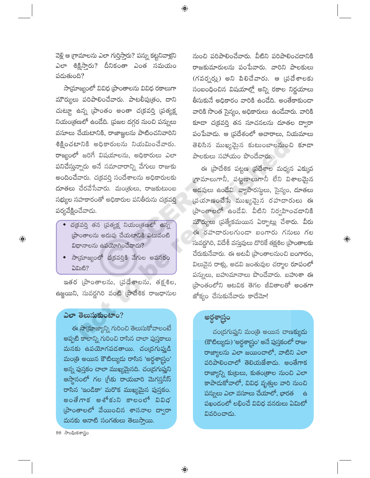వెళ్లి ఆ గ్రామాలను ఎలా గుర్తిస్తారు? పన్ను కట్టనివాళ్లని ఎలా శిక్షిస్తారు? దీనికంతా ఎంత సమయం పదుతుంది?

⊕

సామ్రాజ్యంలో వివిధ [పాంతాలను వివిధ రకాలుగా మౌర్యులు పరిపాలించేవారు. పాటలీపుౖతం, దాని చుట్టూ ఉన్న [పాంతం అంతా చ(కవర్తి [పత్యక్ష నియంత్రణలో ఉండేది. (పజల దగ్గర నుంచి పన్నులు వసూలు చేయటానికి, రాజాజ్ఞలను పాటించనివారిని శిక్టించటానికి అధికారులను నియమించేవారు. రాజ్యంలో జరిగే విషయాలను, అధికారులు ఎలా పనిచేస్తున్నారు అనే సమాచారాన్ని వేగులు రాజుకు అందించేవారు. చక్రవర్తి సందేశాలను అధికారులకు దూతలు చేరవేసేవారు. మంత్రులు, రాజకుటుంబ సభ్యుల సహకారంతో అధికారుల పనితీరును చక్రవర్తి పర్యవేక్షించేవాడు.

- $\bullet$  చ(కవర్తి తన (పత్యక్ష నియం(తణలో ఉన్న (పాంతాలను అదుపు చేయటానికి ఎటువంటి విధానాలను ఉపయోగించేవాడు?
- సాయ్రాజ్యంలో చ(కవర్తికి వేగుల అవసరం ఏమిటి?

ఇతర (పాంతాలను, (పదేశాలను, తక్షశిల, ఉజ్జయిని, సువర్ణగిరి వంటి <mark>(</mark>పాదేశిక రాజధానుల

#### ఎలా తెలుసుకుంటాం?

 $\bigoplus$ 

ఈ సామ్రాజ్యాన్ని గురించి తెలుసుకోవాలంటే అప్పటి కాలాన్ని గురించి రాసిన చాలా పుస్తకాలు మనకు ఉపయోగపడతాయి. చంద్రగుప్తుడి మంత్రి అయిన కౌటిల్యుడు రాసిన 'అర్థశాగ్రం' అన్న పుస్తకం చాలా ముఖ్యమైనది. చంద్రగుప్తుని ఆస్థానంలో గల గ్రీకు రాయబారి మెగస్తనీస్ రాసిన 'ఇండికా' మరొక ముఖ్యమైన పుస్తకం. అంతేగాక అశోకుని కాలంలో వివిధ (పాంతాలలో వేయించిన శాసనాల ద్వారా మనకు ఆనాటి సంగతులు తెలుస్తాయి.

నుంచి పరిపాలించేవారు. వీటిని పరిపాలించడానికి రాజకుమారులను పంపేవారు. వారిని పాలకులు (గవర్నర్లు) అని పిలిచేవారు. ఆ (పదేశాలకు సంబంధించిన విషయాల్లో అన్ని రకాల నిర్ణయాలు తీసుకునే అధికారం వారికి ఉండేది. అంతేకాకుండా వారికి సొంత సైన్యం, అధికారులు ఉండేవారు. వారికి కూడా చ(కవర్తి తన సూచనలను దూతల ద్వారా పంపేవాడు. ఆ (పదేశంలో ఆచారాలు, నియమాలు తెలిసిన ముఖ్యమైన కుటుంబాలనుంచి కూడా పాలకులు సహాయం పొందేవారు.

ఈ (పాదేశిక పట్టణ (పదేశాల మధ్యన ఎక్కువ గ్రామాలుగానీ, పట్టణాలుగానీ లేని విశాలమైన అడవులు ఉండేవి. వ్యాపారస్థులు, సైన్యం, దూతలు  $\check{\omega}$ యాణంచేసే ముఖ్యమైన రహదారులు ఈ (పాంతాలలో ఉండేవి. వీటిని నిర్వహించడానికి <mark>మౌర్యులు (</mark>పత్యేకమయిన ఏర్పాట్లు చేశారు. వీరు ఈ రహదారులగుండా బంగారు గనులు గల సువర్ణగిరి, విదేశీ వస్తువులు దొరికే తక్షశిల (పాంతాలకు చేరుకునేవారు. ఈ అటవీ (ప్రాంతాలనుంచి బంగారం, విలువైన రాళ్లు, అడవి జంతువుల చర్మాల రూపంలో పన్నులు, బహుమానాలు పొందేవారు. బహుశా ఈ ప్రాంతంలోని ఆటవిక తెగల జీవితాలతో అంతగా జోక్యం చేసుకునేవారు కాదేమో!

 $\textcircled{\scriptsize\textsf{P}}$ 

### అర్దశాస్త్రం

చంద్రగుప్తుని మంత్రి అయిన చాణక్యుడు (కౌటిల్యుడు) 'అర్థశాస్త్రం' అనే పుస్తకంలో రాజు రాజ్యాలను ఎలా జయించాలో, వాటిని ఎలా పరిపాలించాలో తెలియజేశాడు. అంతేగాక రాజ్యాన్ని కుట్రలు, కుతం[తాల నుంచి ఎలా కాపాదుకోవాలో, వివిధ వృత్తుల వారి నుంచి పన్నులు ఎలా వసూలు చేయాలో, భారత - ස పఖండంలో లభించే వివిధ వనరులు ఏమిటో వివరించాడు.

98 సాంఘికశాస్త్రం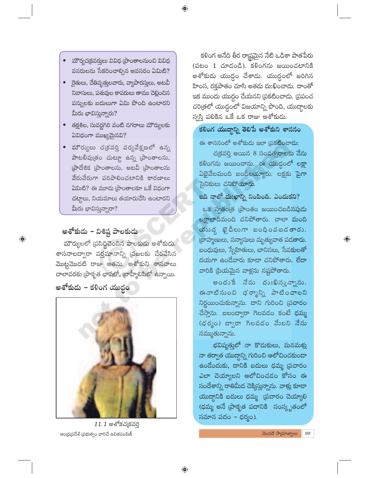$\bigoplus$ 

- మౌర్యచ(కవర్మలు వివిధ [ప్రాంతాలనుంచి వివిధ వనరులను సేకరించాల్సిన అవసరం ఏమిటి?
- ◆ ైరతులు, చేతివృత్తులవారు, వ్యాపారస్తులు, అటవీ నివాసులు, పశువుల కాపరులు తాము చెల్లించిన పన్నులకు బదులుగా ఏమి పొంది ఉంటారని మీరు భావిస్తున్నారు?
- తక్షశిల, సువర్ణగిరి వంటి నగరాలు మౌర్యులకు ఏవిధంగా ముఖ్యమైనవి?
- $\bullet$  మౌర్యులు చ(కవర్తి పర్యవేక్షణలో ఉన్న పాటలీపుత్రం చుట్యూ ఉన్న [ప్రాంతాలను, (పాదేశిక (పాంతాలను, అటవీ (పాంతాలను వేరువేరుగా పరిపాలించటానికి కారణాలు ఏమిటి? ఈ మూడు [పాంతాలకూ ఒకే విధంగా చట్తాలు, నియమాలు తయారుచేసి ఉంటారని మీరు భావిస్తున్నారా?

### అశోకుడు – విశిష్ట పాలకుడు

 $\bigoplus$ 

మౌర్యులలో (పసిద్ధిచెందిన పాలకుడు అశోకుడు. శాసనాలద్వారా వర్తమానాన్ని (పజలకు చేరవేసిన మొట్టమొదటి రాజు అతను. అశోకుని శాసనాలు చాలావరకు (పాకృత భాషలో, (బాహ్మీలిపిలో ఉన్నాయి.

అశోకుడు – కళింగ యుద్ధం



11.1 అశోకచ(కవర్తి ఆంధ్ర(పదేశ్ (పభుత్వం వారిచే ఉచితపంపిణీ

కళింగ అనేది తీర రాష్ట్రమైన నేటి ఒడిశా పాతపేరు  $($ పటం 1 చూదండి). కళింగను జయించటానికి అశోకుడు యుద్ధం చేశాడు. యుద్ధంలో జరిగిన హింస, రక్తపాతం చూసి అతడు దు:ఖించాడు. దాంతో ఇక ముందు యుద్ధం చేయనని (పకటించాడు. (పపంచ చరి[తలో యుద్దంలో విజయాన్ని పొంది, యుద్ధాలకు స్వస్తి పలికిన ఒకే ఒక రాజు అశోకుడు.

#### కళింగ యుద్దాన్ని తెలిపే అశోకుని శాసనం

ఈ శాసనంలో అశోకుడు ఇలా (పకటించాడు: చక్రవర్తి అయిన 8 సంవత్సరాలకు నేను కళింగను జయించాను. ఈ యుద్ధంలో లక్షా ఏభైవేలమంది బందీలయ్యారు. లక్షకు పైగా సైనికులు చనిపోయారు.

ఇది నాలో దు:ఖాన్ని నింపింది. ఎందుకని?  $\overline{\text{a}}$ క స్వతం $\overline{\text{e}}$  (పాంతం జయించబడినపుడు లక్షాలాదిమంది చనిపోతారు. చాలా మంది యుుద్ధ ఖైదీలుగా బంధింవబడతారు. (బాహ్మణులు, సన్యాసులు మృత్యువాత పడతారు. బంధువులు, స్నేహితులు, బానిసలు, సేవకులతో దయగా ఉండేవారు కూడా చనిపోతారు. లేదా వారికి [పియమైన వాళ్లను నష్టపోతారు.

 $\textcircled{\scriptsize\textsf{P}}$ 

అందుకే నేను దుఃఖినున్నాను. ఈ నాటి నుంచి ధర్మాన్ని పాటించాలని నిర్ణయించుకున్నాను. దాని గురించి (పచారం చేస్తాను. బలంద్వారా గెలవడం కంటే ధమ్మ  $(\phi \, \delta_{\tilde{\phi}})$  ద్వారా గెలవడం మేలని నేను నమ్ముతున్నాను.

భవిష్యత్తలో నా కొదుకులు, మనమకు నా తర్వాత యుద్ధాన్ని గురించి ఆలోచించకుండా ఉండేందుకు, దానికి బదులు ధమ్మ (పచారం ఎలా చెయ్యాలని ఆలోచించడం కోసం ఈ సందేశాన్ని రాతిమీద చెక్కిస్తున్నాను. వాళ్లు కూడా యుద్దానికి బదులు ధమ్మ (పచారం చెయ్యాలి (ధమ్మ అనే (పాకృత పదానికి సంస్కృతంలో సమాన పదం – ధర్మం).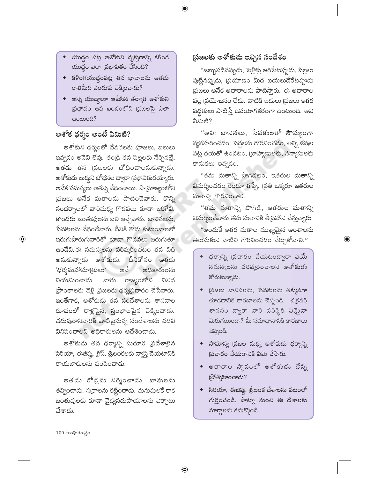- యుద్ధం పట్ల అశోకుని దృక్పథాన్ని కళింగ  $\overline{\text{G}}$ యుద్ధం ఎలా (పభావితం చేసింది?
- $\bullet$  కళింగయుద్దంపట్ల తన భావాలను అతడు రాతిమీద ఎందుకు చెక్కించాడు?
- అన్ని యుద్దాలూ ఆపేసిన తర్వాత అశోకుని (పభావం ఉప ఖండంలోని (పజలపై ఎలా <del>ఉ</del>ంటుంది?

## అశోక ధర్మం అంటే ఏమిటి?

అశోకుని ధర్మంలో దేవతలకు పూజలు, బలులు ఇవ్వడం అనేవి లేవు. తండ్రి తన పిల్లలకు నేర్పినట్లే, అతడు తన (పజలకు బోధించాలనుకున్నాడు. అశోకుడు బుద్దని బోధనల ద్వారా (పభావితుడయ్యాడు. అనేక సమస్యలు అతన్ని వేధించాయి. సాయ్రాజ్యంలోని (పజలు అనేక మతాలను పాటించేవారు. కొన్ని సందర్భాలలో వారిమధ్య గొడవలు కూడా జరిగేవి. కొందరు జంతువులను బలి ఇచ్చేవారు. బానిసలను, సేవకులను వేధించేవారు. దీనికి తోడు కుటుంబాలలో ఇరుగుపొరుగువారితో కూడా గొడవలు జరుగుతూ ఉండేవి. ఈ సమస్యలను పరిష్కరించటం తన విధి అనుకున్నాడు అశోకుడు. దీనికోసం అతడు 'ధర్మమహామాఁతులు' అధికారులను ಅನೆ రాజ్యంలోని నియమించాడు. వారు వివిధ ప్రాంతాలకు వెళ్లి ప్రజలకు ధర్మప్రచారం చేసేవారు. ఇంతేగాక, అశోకుడు తన సందేశాలను శాసనాల రూపంలో రాళ్లపైన, స్తంభాలపైన చెక్కించాడు. చదువురానివారికి వాటిపైనున్న సందేశాలను చదివి వినిపించాలని అధికారులను ఆదేశించాడు.

అశోకుడు తన ధర్మాన్ని సుదూర <mark>ప్రదేశాలైన</mark> సిరియా, ఈజిప్టు, గ్రీస్, శ్రీలంకలకు వ్యాప్తి చేయటానిక<mark>ి</mark> రాయబారులను పంపించాడు.

అతడు రోడ్లను నిర్మించాడు. బావులను తవ్వించాదు. సత్రాలను కట్టించాదు. మనుషులకే కాక జంతువులకు కూడా వైద్యసదుపాయాలను ఏర్పాటు చేశాడు.

## (పజలకు అశోకుడు ఇచ్చిన సందేశం

 $\bigoplus$ 

"జబ్బుపడినప్పుడు, పెళ్లిళ్లు జరిపేటప్పుడు, పిల్లలు పుట్టినప్పుడు, (పయాణం మీద బయలుదేరేటప్పుడు ప్రజలు అనేక ఆచారాలను పాటిస్తారు. ఈ ఆచారాల వల్ల (పయోజనం లేదు. వాటికి బదులు (పజలు ఇతర పద్ధతులు పాటిస్తే ఉపయోగకరంగా ఉంటుంది. అవి ఏమిటి?

"అవి: బానినలు, సేవకులతో సౌమ్యంగా వ్యవహరించడం, పెద్దలను గౌరవించడం, అన్ని జీవుల పట్ల దయతో ఉండటం, (బాహ్మణులకు, సన్యాసులకు కానుకలు ఇవ్వడం.

"తమ మతాన్ని పొగడటం, ఇతరుల మతాన్ని విమర్శించడం రెండూ తప్పే. (పతి ఒక్కరూ ఇతరుల మతాన్ని గౌరవించాలి.

''తమ మతాన్ని పొగిడి, ఇతరుల మతాన్ని విమర్శించేవారు తమ మతానికి తీక్రవహాని చేస్తున్నారు. "అందుకే ఇతర మతాల ముఖ్యమైన అంశాలను తెలుసుకుని వాటిని గౌరవించడం నేర్చుకోవాలి."

 $\bigoplus$ 

- $\bullet$  ధర్మాన్ని (పచారం చేయటంద్వారా ఏయే సమస్యలను పరిష్కరించాలని అశోకుడు కోరుకున్నాడు.
- $\bullet$  ప్రజలు బానిసలను, సేవకులను తక్కువగా చూడడానికి కారణాలను చెప్పండి. చ(కవర్తి శాసనం ద్వారా వారి పరిస్థితి ఏమైనా మెరుగయిందా? మీ సమాధానానికి కారణాలు చెప్పండి.
- $\bullet$  సామాన్య (పజల మధ్య అశోకుడు ధర్మాన్ని (పచారం చేయడానికి ఏమి చేసాడు.
- ఆచారాల స్థానంలో అశోకుడు దేన్ని (పోత్సహించాడు?
- $\bullet$  సిరియా, ఈజిప్ట, శ్రీలంక దేశాలను పటంలో గుర్తించండి. పాట్నా నుంచి ఈ దేశాలకు మార్గాలను కనుక్కోండి.

 $100$  సాంఘికశాస్త్రం

 $\bigoplus$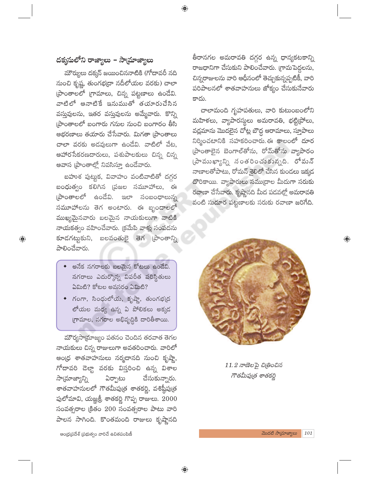$\bigoplus$ 

## దక్కసులోని రాజ్యాలు – సామాజ్యాలు

మౌర్యులు దక్కన్ జయించిననాటికి (గోదావరీ నది నుంచి కృష్ణ, తుంగభ[దా నదీలోయల వరకు) చాలా (పాంతాలలో (గామాలు, చిన్న పట్టణాలు ఉండేవి. వాటిలో ఆనాటికే ఇనుముతో తయారుచేసిన వస్తువులను, ఇతర వస్తువులను అమ్మేవారు. కొన్ని (పాంతాలలో బంగారు గనుల నుంచి బంగారం తీసి ఆభరణాలు తయారు చేసేవారు. మిగతా [పాంతాలు చాలా వరకు అడవులుగా ఉండేవి. వాటిలో వేట. <mark>ఆహారసేకరణదారులు, పశుపాలకులు చ</mark>ిన్న చిన్న ఆవాస (పాంతాల్లో నివసిస్తూ ఉండేవారు.

బహుశ పుట్టుక, వివాహం వంటివాటితో దగ్గర బంధుత్వం కలిగిన ప్రజల సమూహాలు, ఈ ప్రాంతాలలో ఉండేవి. ఇలా సంబంధాలున్న సమూహాలను తెగ అంటారు. ఈ బృందాలలో ముఖ్యమైనవారు బలమైన నాయకులుగా వాటికి నాయకత్వం వహించేవారు. (కమేపి వాళ్లు సంపదను కూడగట్టుకుని, బలవంతులై తెగ [పాంతాన్ని పాలించేవారు.

 $\bigoplus$ 

- $\bullet$  అనేక నగరాలకు బలమైన కోటలు ఉండేవి. నగరాలు ఎదుర్కొన్న విపరీత పరిస్థితులు ఏమిటి? కోటల అవసరం ఏమిటి?
- గంగా, సింధులోయ, కృష్ణా, తుంగభ(ద లోయల మధ్య ఉన్న ఏ పోలికలు అక్కడ గ్రామాల, నగరాల అభివృద్ధికి దారితీశాయి.

మౌర్యసా[మాజ్యం పతనం చెందిన తరవాత తెగల నాయకులు చిన్న రాజులుగా అవతరించారు. వారిలో ఆం(ధ శాతవాహనులు నర్మదానది నుంచి కృష్ణా, గోదావరి డెల్టా వరకు విస్తరించి ఉన్న విశాల సాయాజ్యాన్ని ఏర్పాటు చేసుకున్నారు. శాతవాహనులలో గౌతమీపుత్ర శాతకర్ణి, వశిష్ఠీపుత్ర పులోమావి, యజ్ఞశ్రీ శాతకర్ణి గొప్ప రాజులు. 2000 సంవత్సరాల క్రితం 200 సంవత్సరాల పాటు వారి పాలన సాగింది. కొంతమంది రాజులు కృష్ణానది

తీరానగల అమరావతి దగ్గర ఉన్న ధాన్యకటకాన్ని రాజధానిగా చేసుకుని పాలించేవారు. (గామపెద్దలను, చిన్నరాజులను వారి ఆధీనంలో తెచ్చుకున్నప్పటికీ, వారి .<br>పరిపాలనలో శాతవాహనులు జోక్యం చేసుకునేవారు కాదు.

చాలామంది గృహపతులు, వారి కుటుంబంలోని మహిళలు, వ్యాపారస్థులు అమరావతి, భట్టి(పోలు, వద్లమాను మొదలైన చోట్ల బౌద్ధ ఆరామాలు, స్తూపాలు నిర్మించటానికి సహకరించారు. ఈ కాలంలో దూర ప్రాంతాలైన బెంగాల్తోను, రోమ్తోను వ్యాపారం  $\omega$ ే ముఖ్యాన్ని సంతరించుకున్నది. రోమన్ నాణాలతోపాటు, రోమన్ శైలిలో చేసిన కుండలు ఇక్కడ దొరికాయి. వ్యాపారులు సముద్రాల మీదుగా సరుకు రవాణా చేసేవారు. కృష్ణానది మీద పడవల్లో అమరావతి వంటి సుదూర పట్టణాలకు సరుకు రవాణా జరిగేది.



 $11.2$  నాణెలపై చిట్రించిన గౌతమీపుత్ర శాతకర్ణి

 $\bigoplus$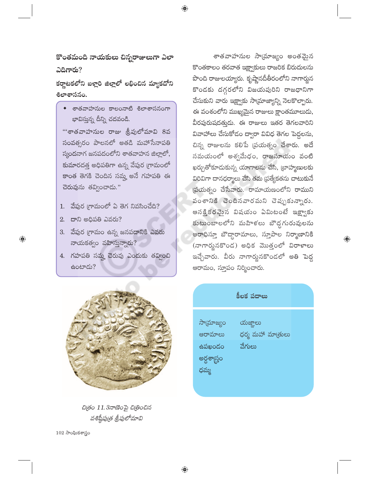కొంతమంది నాయకులు చిన్నరాజులుగా ఎలా  $\Delta$ ದಿಗಾರು?

 $\bigoplus$ 

కర్ణాటకలోని బళ్లారి జిల్లాలో లభించిన మ్యాకదోని **శిలాశాసనం.** 

◆ శాతవాహనుల కాలంనాటి శిలాశాసనంగా భావిస్తున్న దీన్ని చదవండి.

'''శాతవాహనుల రాజు శ్రీపులోమావి 8వ సంవత్సరం పాలనలో అతడి మహాసేనాపతి స్మందనాగ జనపదంలోని శాతవాహన జిల్లాలో, కుమారదత్త అధిపతిగా ఉన్న వేపుర గ్రామంలో కాంత తెగకి చెందిన సమ్హ అనే గహపతి ఈ చెరువును తవ్వించాడు."

- $1.$  వేపుర గ్రామంలో ఏ తెగ నివసించేది?
- 2. దాని అధిపతి ఎవరు?

 $\bigoplus$ 

- 3. వేపుర గ్రామం ఉన్న జనపదానికి ఎవరు నాయకత్వం వహిస్తున్నారు?
- 4. గహపతి సమ్మ చెరువు ఎందుకు తవ్వించి ఉంటాడు?



చిత్రం 11.3నాణెంపై చిత్రించిన వశిష్టీపు(త త్రీపులోమావి

 $102$  సాంఘికశాస్త్రం

శాతవాహనుల సాయమాజ్యం అంతమైన కొంతకాలం తరవాత ఇక్ష్వాకులు రాజరిక బిరుదులను పొంది రాజులయ్యారు. కృష్ణానదీతీరంలోని నాగార్జున కొండకు దగ్గరలోని విజయపురిని రాజధానిగా చేసుకుని వారు ఇక్ష్వాకు సామ్రాజ్యాన్ని నెలకొల్పారు. ఈ వంశంలోని ముఖ్యమైన రాజులు క్షాంతమూలుదు, వీరపురుషదత్తుడు. ఈ రాజులు ఇతర తెగలవారిని వివాహాలు చేసుకోడం ద్వారా వివిధ తెగల పెద్దలను, చిన్న రాజులను కలిపే (పయత్నం చేశారు. అదే సమయంలో అశ్వమేధం, రాజసూయం వంటి ఖర్చుతోకూడుకున్న యాగాలను చేసి, ట్రాహ్మణులకు విరివిగా దానధర్మాలు చేసి తమ ప్రత్యేకతను చాటుకునే (పయత్నం చేసేవారు. రామాయణంలోని రాముని వంశానికి చెందినవారమని చెప్పుకున్నారు. ఆసక్తికరవైన విషయం ఏమిటంటే ఇక్ష్యాకు కుటుంబాలలోని మహిళలు బౌద్దగురువులను ఆరాధిస్తూ బౌద్ధారామాలు, స్తూపాల నిర్మాణానికి (నాగార్జునకొండ) అధిక మొత్తంలో విరాళాలు ఇచ్చేవారు. వీరు నాగార్జునకొండలో అతి పెద్ద ఆరామం, స్తూపం నిర్మించారు.

| းလ | యజ్ఞాలు           |  |
|----|-------------------|--|
| ಲು | ధర్మ మహా మాత్రులు |  |
| ဴဝ | వేగులు            |  |
| ļО |                   |  |
|    |                   |  |

gens screen

సాయ్రాం ఆరామా ఉపఖంగ

అర్ధశాన్ర

ధమ్మ

 $\bigoplus$